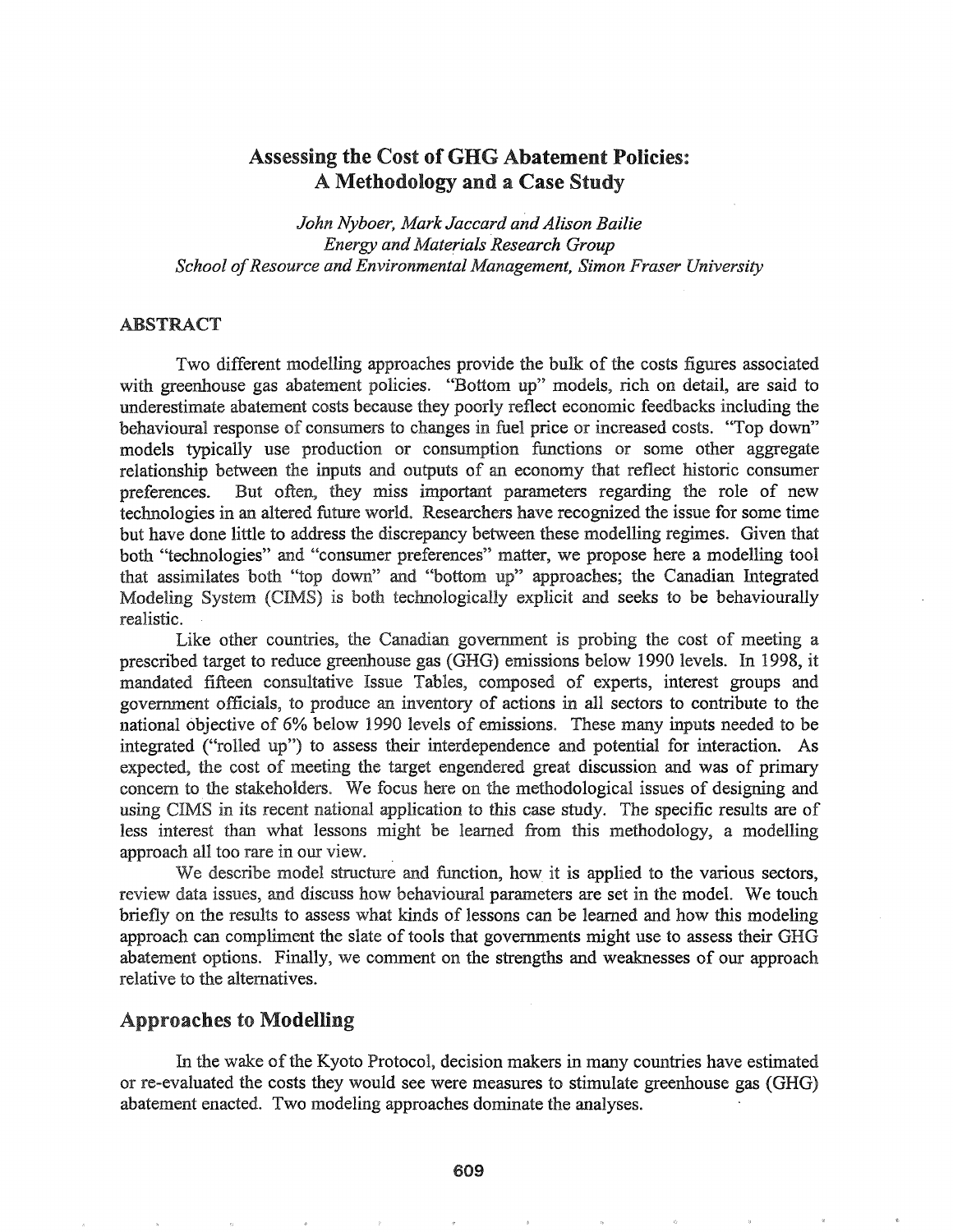# Assessing the Cost of **GHG** Abatement Policies: A Methodology and a Case Study

*John Nyboer, Mark Jaccard and Alison Bailie Energy and Materials Research Group School ofResource and Environmental Management, Simon Fraser University*

## ABSTRACT

Two different modelling approaches provide the bulk of the costs figures associated with greenhouse gas abatement policies. "Bottom up" models, rich on detail, are said to underestimate abatement costs because they poorly reflect economic feedbacks including the behavioural response of consumers to changes in fuel price or increased costs. "Top down" models typically use production or consumption functions or some other aggregate relationship between the inputs and outputs of an economy that reflect historic consumer preferences. But often, they miss important parameters regarding the role of new technologies in an altered future world. Researchers have recognized the issue for some time but have done little to address the discrepancy between these modelling regimes. Given that both "technologies" and "consumer preferences'" matter, we propose here a modelling tool that assimilates both "top down" and "bottom up" approaches; the Canadian Integrated Modeling System (CIMS) is both technologically explicit and seeks to be behaviourally realistic.

Like other countries, the Canadian government is probing the cost of meeting a prescribed target to reduce greenhouse gas (GHG) emissions below 1990 levels. In 1998, it mandated fifteen consultative Issue Tables, composed of experts, interest groups and government officials, to produce an inventory of actions in all sectors to contribute to the national objective of 6% below 1990 levels of emissions. These many inputs needed to be integrated ("rolled up") to assess their interdependence and potential for interaction. As expected, the cost of meeting the target engendered great discussion and was of primary concern to the stakeholders. We focus here on the methodological issues of designing and using CIMS in its recent national application to this case study. The specific results are of less interest than what lessons might be learned from this methodology, a modelling approach all too rare in our view.

We describe model structure and function, how it is applied to the various sectors, review data issues, and discuss how behavioural parameters are set in the model. We touch briefly on the results to assess what kinds of lessons can be learned and how this modeling approach can compliment the slate of tools that governments might use to assess their GHG abatement options. Finally, we comment on the strengths and weaknesses of our approach relative to the alternatives.

## Approaches to Modelling

In the wake of the Kyoto Protocol, decision makers in many countries have estimated or re-evaluated the costs they would see were measures to stimulate greenhouse gas (GHG) abatement enacted. Two modeling approaches dominate the analyses.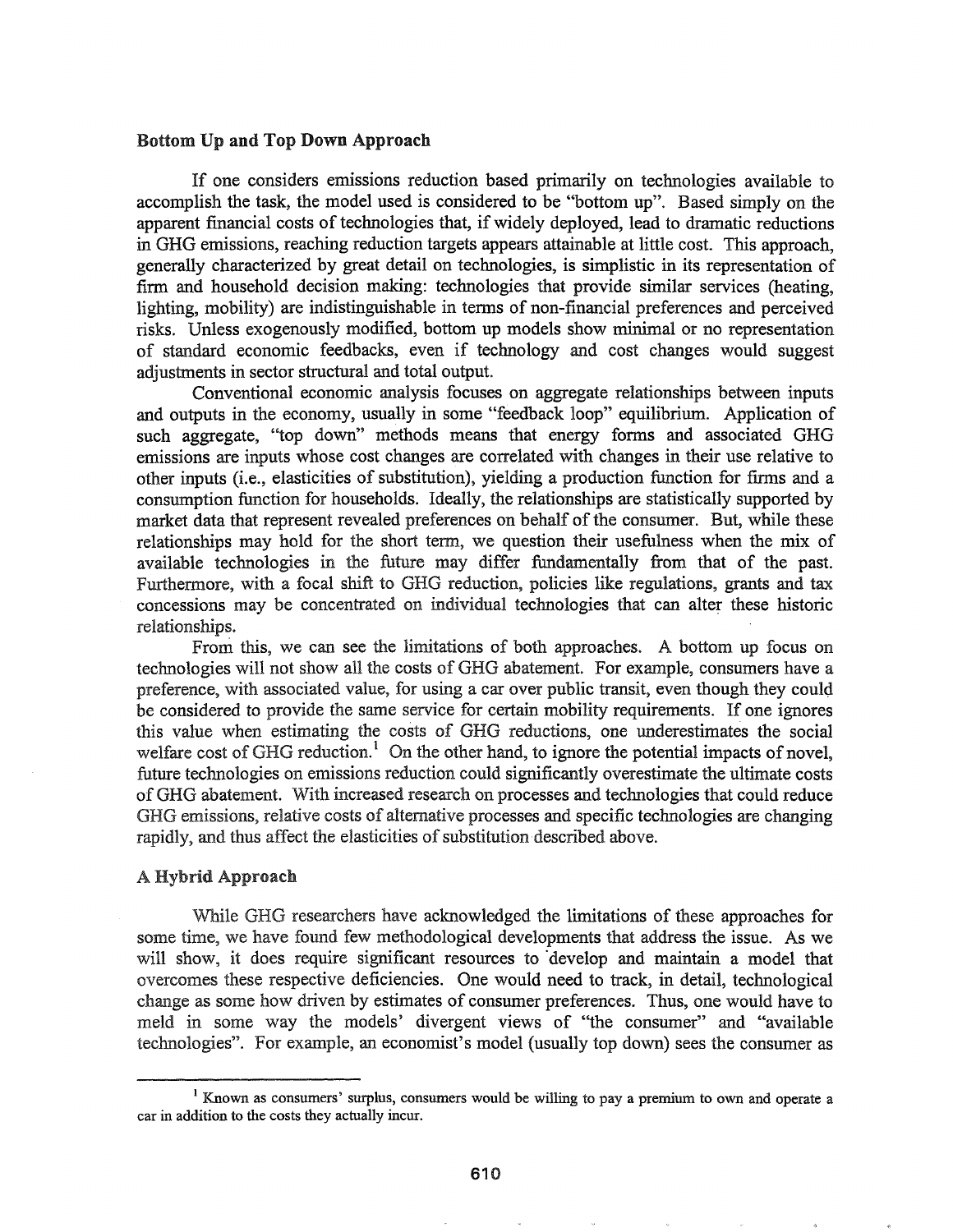#### Bottom Up and Top Down Approach

If one considers emissions reduction based primarily on technologies available to accomplish the task, the model used is considered to be "bottom up". Based simply on the apparent financial costs of technologies that, if widely deployed, lead to dramatic reductions in GHG emissions, reaching reduction targets appears attainable at little cost. This approach, generally characterized by great detail on technologies, is simplistic in its representation of firm and household decision making: technologies that provide similar services (heating, lighting, mobility) are indistinguishable in tenns of non-financial preferences and perceived risks. Unless exogenously modified, bottom up models show minimal or no representation of standard economic feedbacks, even if technology and cost changes would suggest adjustments in sector structural and total output.

Conventional economic analysis focuses on aggregate relationships between inputs and outputs in the economy, usually in some "feedback loop" equilibrium.. Application of such aggregate, "top down" methods means that energy fonns and associated GHG emissions are inputs whose cost changes are correlated with changes in their use relative to other inputs (i.e., elasticities of substitution), yielding a production function for firms and a consumption function for households. Ideally, the relationships are statistically supported by market data that represent revealed preferences on behalf of the consumer. But, while these relationships may hold for the short term, we question their usefulness when the mix of available technologies in the future may differ fundamentally from that of the past. Furthermore, with a focal shift to GHG reduction, policies like regulations, grants and tax concessions may be concentrated on individual technologies that can alter these historic relationships.

From this, we can see the limitations of both approaches. A bottom up focus on technologies will not show all the costs of GHG abatement. For example, consumers have a preference, with associated value, for using a car over public transit, even though they could be considered to provide the same service for certain mobility requirements.. If one ignores this value when estimating the costs of GHG reductions, one underestimates the social welfare cost of GHG reduction.<sup>1</sup> On the other hand, to ignore the potential impacts of novel, future technologies on emissions reduction could significantly overestimate the ultimate costs ofGHG abatement. With increased research on processes and technologies that could reduce GHG emissions, relative costs of alternative processes and specific technologies are changing rapidly, and thus affect the elasticities of substitution described above.

#### A Hybrid Approach

While GHG researchers have acknowledged the limitations of these approaches for some time, we have found few methodological developments that address the issue. As we will show, it does require significant resources to develop and maintain a model that overcomes these respective deficiencies. One would need to track, in detail, technological change as some how driven by estimates of consumer preferences.. Thus, one would have to meld in some way the models' divergent views of "the consumer" and "available technologies". For example, an economist's model (usually top down) sees the consumer as

<sup>&</sup>lt;sup>1</sup> Known as consumers' surplus, consumers would be willing to pay a premium to own and operate a car in addition to the costs they actually incur.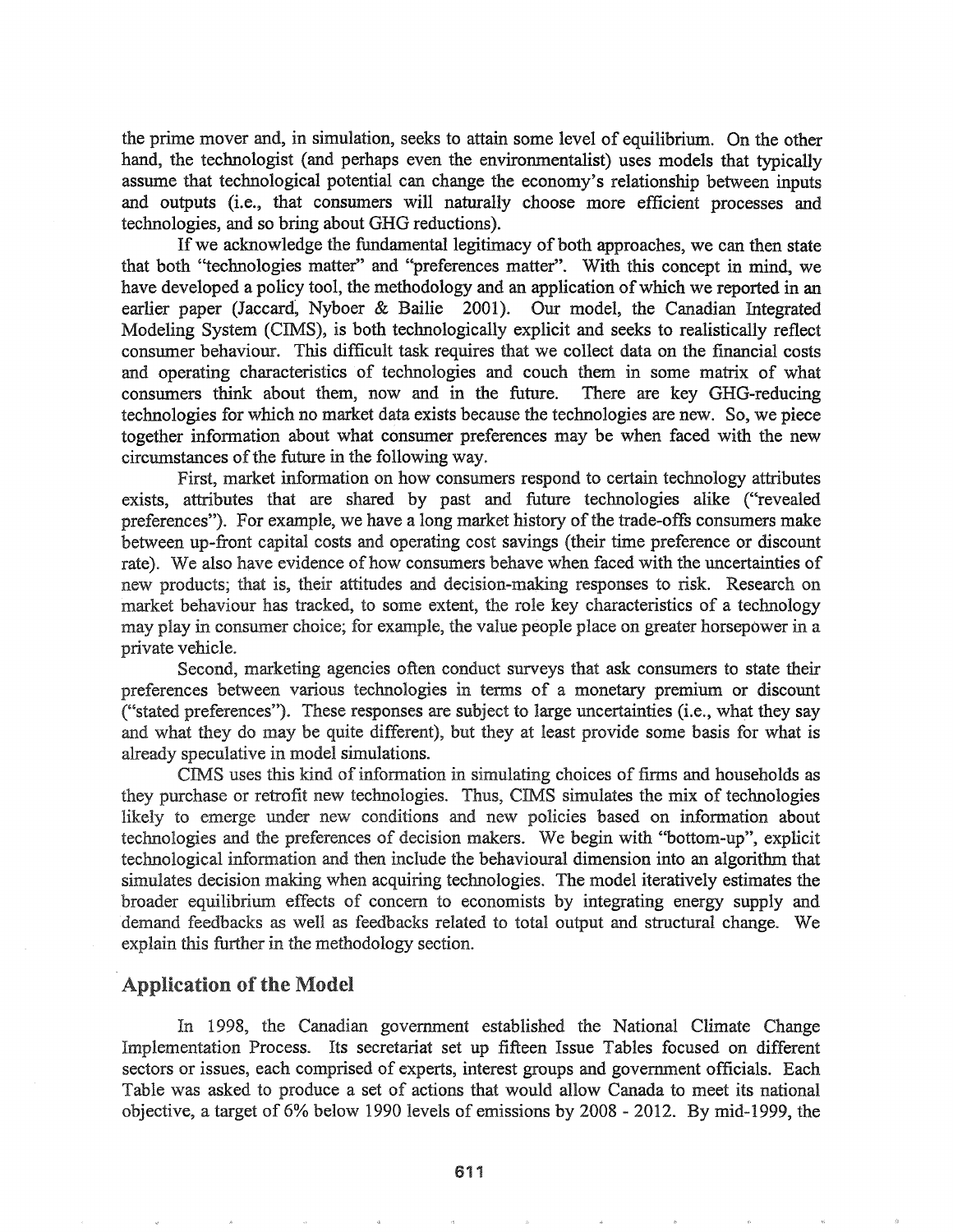the prime mover and, in simulation, seeks to attain some level of equilibrium. On the other hand, the technologist (and perhaps even the environmentalist) uses models that typically assume that technological potential can change the economy's relationship between inputs and outputs (i.e., that consumers will naturally choose more efficient processes and technologies, and so bring about GHG reductions).

If we acknowledge the fundamental legitimacy of both approaches, we can then state that both "technologies matter" and "preferences matter". With this concept in mind, we have developed a policy tool, the methodology and an application of which we reported in an earlier paper (Jaccard, Nyboer & Bailie 2001). Our model, the Canadian Integrated Modeling System (CIMS), is both technologically explicit and seeks to realistically reflect consumer behaviour. This difficult task requires that we collect data on the fmancial costs and operating characteristics of technologies and couch them in some matrix of what consumers think about them, now and in the future. There are key GHG-reducing technologies for which no market data exists because the technologies are new. So, we piece together information about what consumer preferences may be when faced with the new circumstances of the future in the following way.

First, market infonnation on how consumers respond to certain technology attributes exists, attributes that are shared by past and future technologies alike ("revealed preferences"). For example, we have a long market history of the trade-offs consumers make between up-front capital costs and operating cost savings (their time preference or discount rate). We also have evidence of how consumers behave when faced with the uncertainties of new products; that is, their attitudes and decision-making responses to risk. Research on market behaviour has tracked, to some extent, the role key characteristics of a technology may play in consumer choice; for example, the value people place on greater horsepower in a private vehicle..

Second, marketing agencies often conduct surveys that ask consumers to state their preferences between various technologies in terms of a monetary premium or discount ("stated preferences"). These responses are subject to large uncertainties (i.e., what they say and what they do may be quite different), but they at least provide some basis for what is already speculative in model simulations..

eIMS uses this kind ofinfonnation in simulating choices of firms and households as they purchase or retrofit new technologies. Thus, CIMS simulates the mix of technologies likely to emerge under new conditions and new policies based on information about technologies and the preferences of decision makers.. We begin with "bottom-up", explicit technological information and then include the behavioural dimension into an algorithm that simulates decision making when acquiring technologies. The model iteratively estimates the broader equilibrium effects of concern to economists by integrating energy supply and demand feedbacks as well as feedbacks related to total output and structural change. We explain this further in the methodology section..

## Application of the Model

In 1998, the Canadian government established the National Climate Change Implementation Process.. Its secretariat set up fifteen Issue Tables focused on different sectors or issues, each comprised of experts, interest groups and government officials. Each Table was asked to produce a set of actions that would allow Canada to meet its national objective, a target of 6% below 1990 levels of emissions by 2008 - 2012. By mid-1999, the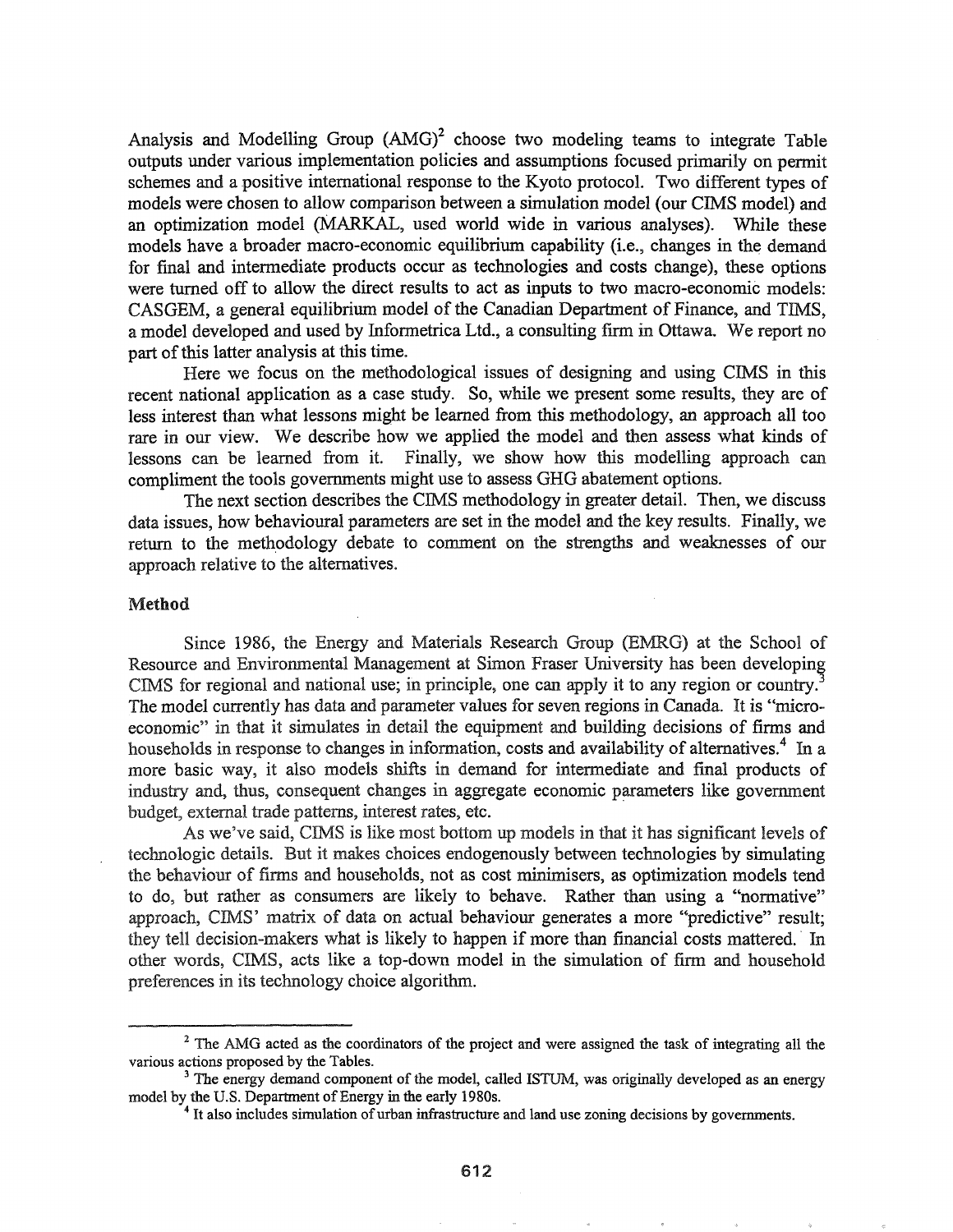Analysis and Modelling Group  $(AMG)^2$  choose two modeling teams to integrate Table outputs under various implementation policies and assumptions focused primarily on permit schemes and a positive international response to the Kyoto protocol. Two different types of models were chosen to allow comparison between a simulation model (our CIMS model) and an optimization model (MARKAL, used world wide in various analyses). While these models have a broader macro-economic equilibrium capability (i.e., changes in the demand for final and intennediate products occur as technologies and costs change), these options were turned off to allow the direct results to act as inputs to two macro-economic models: CASGEM, a general equilibrium model of the Canadian Department of Finance, and TIMS. a model developed and used by Informetrica Ltd., a consulting firm in Ottawa. We report no part of this latter analysis at this time.

Here we focus on the methodological issues of designing and using CIMS in this recent national application as a case study. So, while we present some results, they are of less interest than what lessons might be learned from this methodology, an approach all too rare in our view. We describe how we applied the model and then assess what kinds of lessons can be learned from it Finally, we show how this modelling approach can compliment the tools governments might use to assess GHG abatement options.

The next section describes the CIMS methodology in greater detail. Then, we discuss data issues, how behavioural parameters are set in the model and the key results. Finally, we return to the methodology debate to comment on the strengths and weaknesses of our approach relative to the alternatives.

#### Method

Since 1986, the Energy and Materials Research Group (EMRG) at the School of Resource and Environmental Management at Simon Fraser University has been developing CIMS for regional and national use; in principle, one can apply it to any region or country.<sup>3</sup> The model currently has data and parameter values for seven regions in Canada. It is "microeconomic" in that it simulates in detail the equipment and building decisions of firms and households in response to changes in information, costs and availability of alternatives.<sup>4</sup> In a more basic way, it also models shifts in demand for intermediate and final products of industry and, thus, consequent changes in aggregate economic parameters like government budget, external trade patterns, interest rates, etc.

As we've said, CIMS is like most bottom up models in that it has significant levels of technologic details. But it makes choices endogenously between technologies by simulating the behaviour of finns and households, not as cost minimisers, as optimization models tend to do, but rather as consumers are likely to behave. Rather than using a "normative" approach, CIMS' matrix of data on actual behaviour generates a more "predictive" result; they tell decision-makers what is likely to happen if more than financial costs mattered. In other words, CIMS, acts like a top-down model in the simulation of firm and household preferences in its technology choice algorithm.

<sup>&</sup>lt;sup>2</sup> The AMG acted as the coordinators of the project and were assigned the task of integrating all the various actions proposed by the Tables.

<sup>&</sup>lt;sup>3</sup> The energy demand component of the model, called ISTUM, was originally developed as an energy model by the U.S. Department of Energy in the early 1980s.

<sup>&</sup>lt;sup>4</sup> It also includes simulation of urban infrastructure and land use zoning decisions by governments.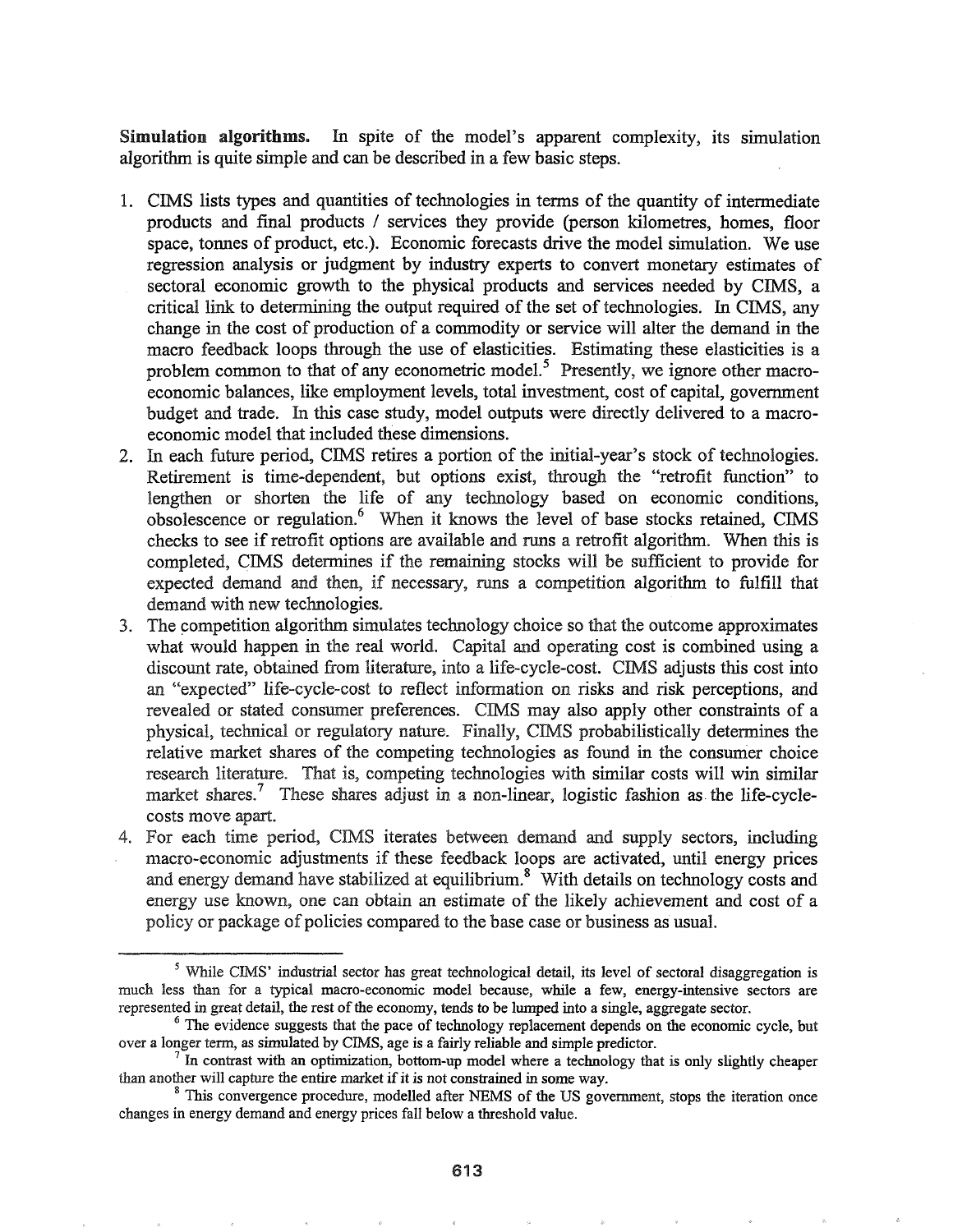Simulation algorithms. In spite of the model's apparent complexity, its simulation algorithm is quite simple and can be described in a few basic steps.

- 1. eIMS lists types and quantities of technologies·in terms of the quantity of intermediate products and final products / services they provide (person kilometres, homes, floor space, tonnes of product, etc.). Economic forecasts drive the model simulation.. We use regression analysis or judgment by industry experts to convert monetary estimates of sectoral economic growth to the physical products and services needed by CIMS, a critical link to determining the output required of the set of technologies. In CIMS, any change in the cost of production of a commodity or service will alter the demand in the macro feedback loops through the use of elasticities.. Estimating these elasticities is a problem common to that of any econometric model.<sup>5</sup> Presently, we ignore other macroeconomic balances, like employment levels, total investment, cost of capital, government budget and trade. In this case study, model outputs were directly delivered to a macroeconomic model that included these dimensions.
- 2. In each future period, CIMS retires a portion of the initial-year's stock of technologies. Retirement is time-dependent, but options exist, through the "retrofit function" to lengthen or shorten the life of any technology based on economic conditions, obsolescence or regulation.<sup>6</sup> When it knows the level of base stocks retained, CIMS checks to see if retrofit options are available and runs a retrofit algorithm. When this is completed, CIMS determines if the remaining stocks will be sufficient to provide for expected demand and then, if necessary, runs a competition algorithm to fulfill that demand with new technologies.
- 3. The competition algorithm simulates technology choice so that the outcome approximates what would happen in the real world. Capital and operating cost is combined using a discount rate, obtained from literature, into a life-cycle-cost. CIMS adjusts this cost into an "expected" life-cycle-cost to reflect infonnation on risks and risk perceptions, and revealed or stated consumer preferences. CIMS may also apply other constraints of a physical, technical or regulatory nature. Finally, CIMS probabilistically determines the relative market shares of the competing technologies as found in the consumer choice research literature. That is, competing technologies with similar costs will win similar market shares.<sup>7</sup> These shares adjust in a non-linear, logistic fashion as the life-cyclecosts move apart..
- 4. For each time period, CIMS iterates between demand and supply sectors, including macro-economic adjustments if these feedback loops are activated, until energy prices and energy demand have stabilized at equilibrium. $8 \text{ With details on technology costs and}$ energy use known, one can obtain an estimate of the likely achievement and cost of a policy or package of policies compared to the base case or business as usual.

<sup>&</sup>lt;sup>5</sup> While CIMS' industrial sector has great technological detail, its level of sectoral disaggregation is much less than for a typical macro-economic model because, while a few, energy-intensive sectors are represented in great detail, the rest of the economy, tends to be lumped into a single, aggregate sector.

<sup>&</sup>lt;sup>6</sup> The evidence suggests that the pace of technology replacement depends on the economic cycle, but over a longer term, as simulated by CIMS, age is a fairly reliable and simple predictor.

 $<sup>7</sup>$  In contrast with an optimization, bottom-up model where a technology that is only slightly cheaper</sup> than another will capture the entire market if it is not constrained in some way.

<sup>&</sup>lt;sup>8</sup> This convergence procedure, modelled after NEMS of the US government, stops the iteration once changes in energy demand and energy prices fall below a threshold value.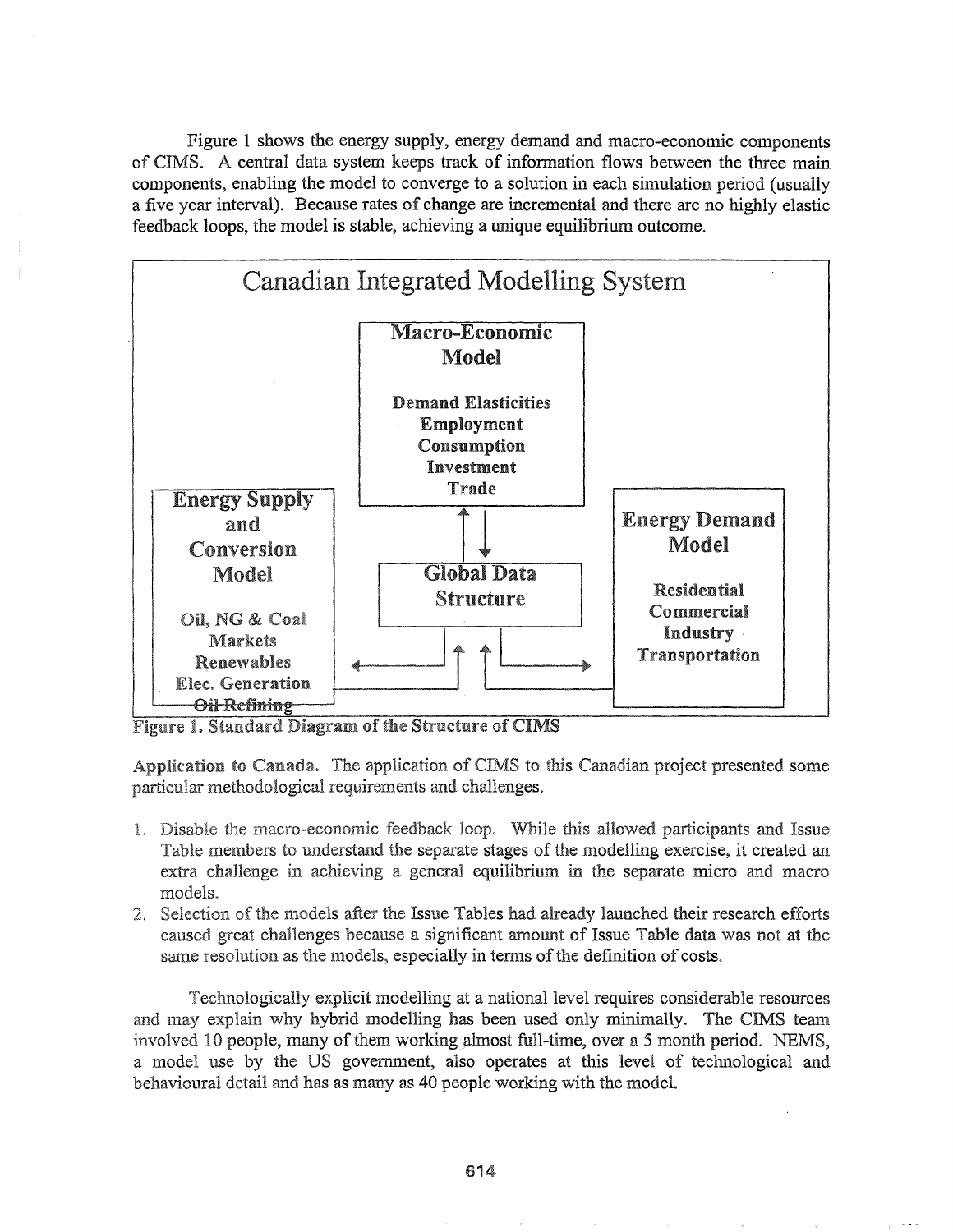Figure 1 shows the energy supply, energy demand and macro-economic components of CIMS. A central data system keeps track of information flows between the three main components, enabling the model to converge to a solution in each simulation period (usually a five year interval).. Because rates of change are incremental and there are no highly elastic feedback loops, the model is stable, achieving a unique equilibrium outcome.



Figure 1. Standard Diagram of the Structure of CIMS

Application to Canada. The application of CIMS to this Canadian project presented some particular methodological requirements and challenges.

- 1. Disable the macro-economic feedback loop. While this allowed participants and Issue Table members to understand the separate stages of the modelling exercise, it created an extra challenge in achieving a general equilibrium in the separate micro and macro models.
- 2. Selection of the models after the Issue Tables had already launched their research efforts caused challenges because a significant amount of Issue Table data was not at the same resolution as the models, especially in terms of the definition of costs.

Technologically explicit modelling at a national level requires considerable resources and may explain why hybrid modelling has been used only minimally. The CIMS team involved 10 people, many of them working almost full-time, over a 5 month period. NEMS, a model use by the US government, also operates at this level of technological and behavioural detail and has as many as 40 people working with the model.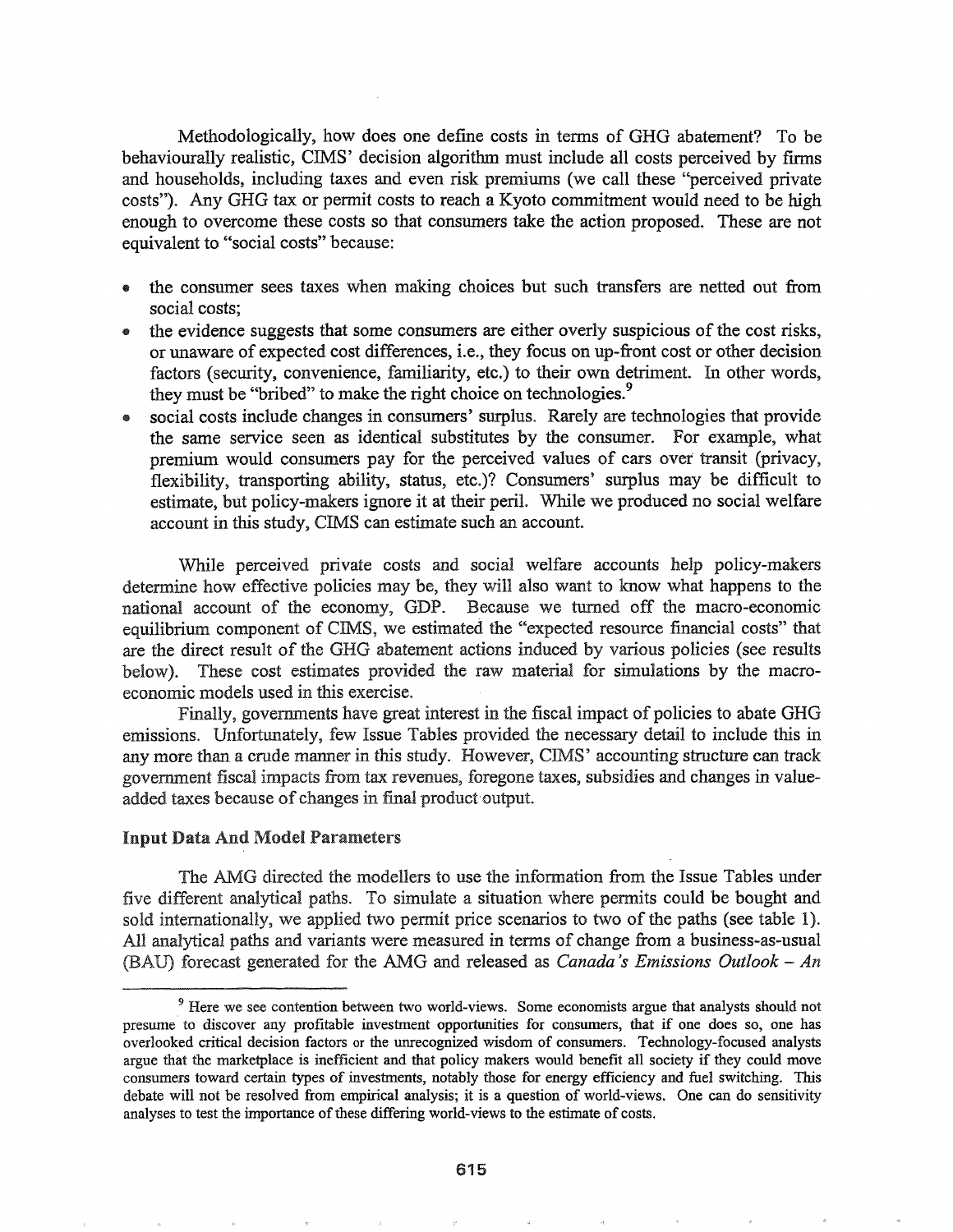Methodologically, how does one define costs in terms of GHG abatement? To be behaviourally realistic, CIMS' decision algorithm must include all costs perceived by firms and households, including taxes and even risk premiums (we call these "perceived private costs"). Any GHG tax or permit costs to reach a Kyoto commitment would need to be high enough to overcome these costs so that consumers take the action proposed. These are not equivalent to "social costs" because:

- .. the consumer sees taxes when making choices but such transfers are netted out from social costs;
- the evidence suggests that some consumers are either overly suspicious of the cost risks, or unaware of expected cost differences, i.e., they focus on up-front cost or other decision factors (security, convenience, familiarity, etc.) to their own detriment. In other words, they must be "bribed" to make the right choice on technologies.<sup>9</sup>
- social costs include changes in consumers' surplus. Rarely are technologies that provide the same service seen as identical substitutes by the consumer. For example, what premium would consumers pay for the perceived values of ears over transit (privacy, flexibility, transporting ability, status, etc.)? Consumers' surplus may be difficult to estimate, but policy-makers ignore it at their peril. While we produced no social welfare account in this study, CIMS can estimate such an account.

While perceived private costs and social welfare accounts help policy-makers determine how effective policies may be, they will also want to know what happens to the national account of the economy, GDP. Because we turned off the macro-economic equilibrium component of CIMS, we estimated the "expected resource financial costs" that are the direct result of the GHG abatement actions induced by various policies (see results below). These cost estimates provided the raw material for simulations by the macroeconomic models used in this exercise..

Finally, governments have great interest in the fiscal impact of policies to abate GHG emissions.. Unfortunately, few Issue Tables provided the necessary detail to include this in any more than a crude manner in this study. However, CIMS' accounting structure can track government fiscal impacts from tax revenues, foregone taxes, subsidies and changes in valueadded taxes because of changes in final product output.

#### Input Data And Model Parameters

The AMG directed the modellers to use the information from the Issue Tables under five different analytical paths. To simulate a situation where permits could be bought and sold internationally, we applied two permit price scenarios to two of the paths (see table 1). All analytical paths and variants were measured in terms of change from a business-as-usual forecast generated for the AMG and released as *Canada's Emissions Outlook* - *An*

<sup>&</sup>lt;sup>9</sup> Here we see contention between two world-views. Some economists argue that analysts should not presume' to discover any profitable investment opportunities for consumers, that if one does so, one has overlooked critical decision factors or the unrecognized wisdom of consumers. Technology-focused analysts argue that the marketplace is inefficient and that policy makers would benefit all society if they could move consumers toward certain types of investments, notably those for energy efficiency and fuel switching. This debate will not be resolved from empirical analysis; it is a question of world-views. One can do sensitivity analyses to test the importance of these differing world-views to the estimate of costs.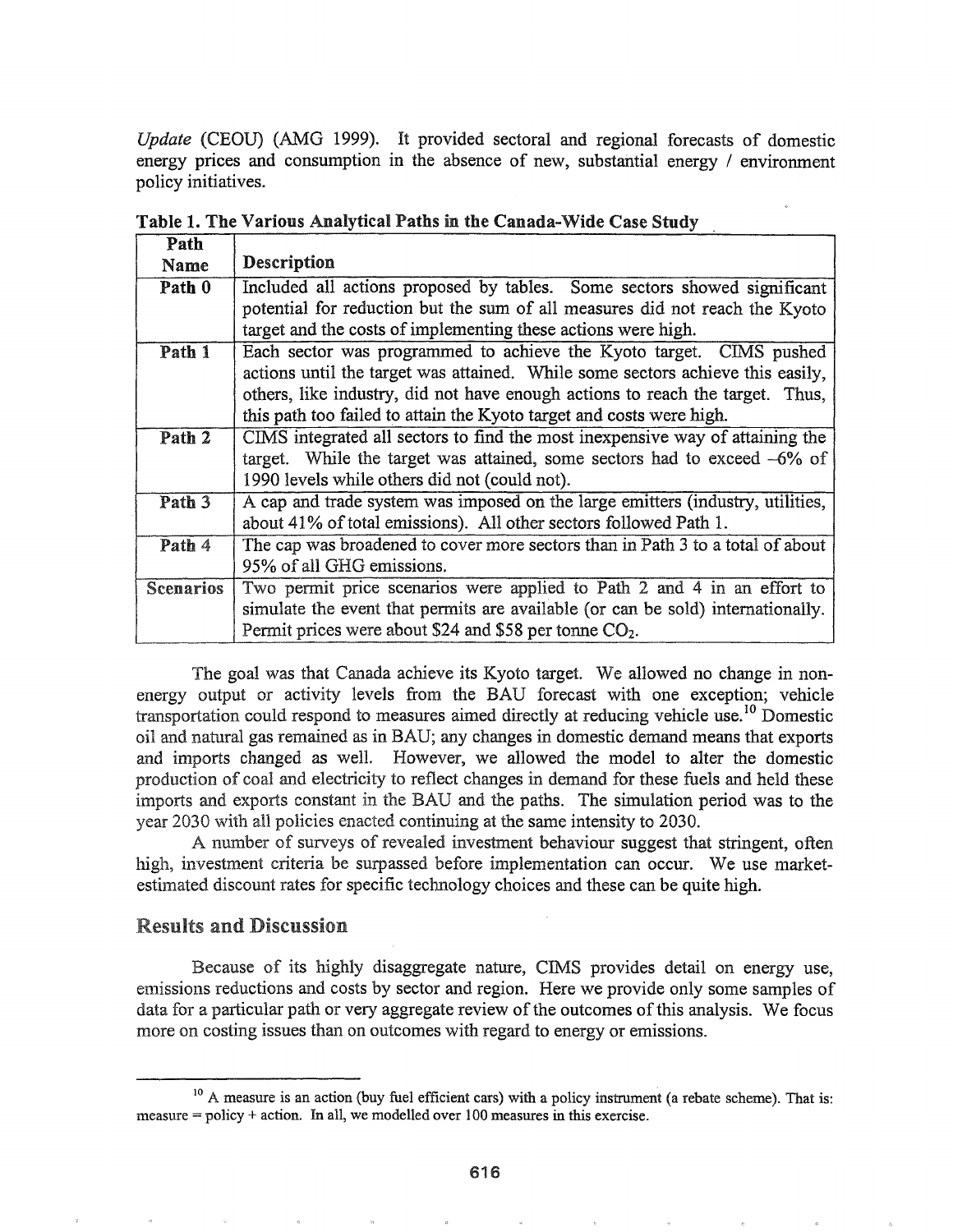*Update* (CEOU) (AMG 1999). It provided sectoral and regional forecasts of domestic energy prices and consumption in the absence of new, substantial energy / environment policy initiatives.

| Path                       |                                                                                 |  |  |  |  |  |  |  |  |  |
|----------------------------|---------------------------------------------------------------------------------|--|--|--|--|--|--|--|--|--|
| Name                       | Description                                                                     |  |  |  |  |  |  |  |  |  |
| Path 0                     | Included all actions proposed by tables. Some sectors showed significant        |  |  |  |  |  |  |  |  |  |
|                            | potential for reduction but the sum of all measures did not reach the Kyoto     |  |  |  |  |  |  |  |  |  |
|                            | target and the costs of implementing these actions were high.                   |  |  |  |  |  |  |  |  |  |
| Path 1                     | Each sector was programmed to achieve the Kyoto target. CIMS pushed             |  |  |  |  |  |  |  |  |  |
|                            | actions until the target was attained. While some sectors achieve this easily,  |  |  |  |  |  |  |  |  |  |
|                            | others, like industry, did not have enough actions to reach the target. Thus,   |  |  |  |  |  |  |  |  |  |
|                            | this path too failed to attain the Kyoto target and costs were high.            |  |  |  |  |  |  |  |  |  |
| Path 2                     | CIMS integrated all sectors to find the most inexpensive way of attaining the   |  |  |  |  |  |  |  |  |  |
|                            | target. While the target was attained, some sectors had to exceed $-6\%$ of     |  |  |  |  |  |  |  |  |  |
|                            | 1990 levels while others did not (could not).                                   |  |  |  |  |  |  |  |  |  |
| $\overline{\text{Path }3}$ | A cap and trade system was imposed on the large emitters (industry, utilities,  |  |  |  |  |  |  |  |  |  |
|                            | about 41% of total emissions). All other sectors followed Path 1.               |  |  |  |  |  |  |  |  |  |
| Path 4                     | The cap was broadened to cover more sectors than in Path 3 to a total of about  |  |  |  |  |  |  |  |  |  |
|                            | 95% of all GHG emissions.                                                       |  |  |  |  |  |  |  |  |  |
| <b>Scenarios</b>           | Two permit price scenarios were applied to Path 2 and 4 in an effort to         |  |  |  |  |  |  |  |  |  |
|                            | simulate the event that permits are available (or can be sold) internationally. |  |  |  |  |  |  |  |  |  |
|                            | Permit prices were about \$24 and \$58 per tonne CO <sub>2</sub> .              |  |  |  |  |  |  |  |  |  |

Table 1. The Various Analytical Paths in the Canada-Wide Case Study

The goal was that Canada achieve its Kyoto target. We allowed no change in nonenergy output or activity levels from the BAD forecast with one exception; vehicle transportation could respond to measures aimed directly at reducing vehicle use.<sup>10</sup> Domestic oil and natural gas remained as in BAD; any changes in domestic demand means that exports and imports changed as welL However, we allowed the model to alter the domestic production of coal and electricity to reflect changes in demand for these fuels and held these imports and exports constant in the BAU and the paths. The simulation period was to the year 2030 with all policies enacted continuing at the same intensity to 2030.

A number of surveys of revealed investment behaviour suggest that stringent, often high, investment criteria be surpassed before implementation can occur. We use marketestimated discount rates for specific technology choices and these can be quite high.

## Results and Discussion

Because of its highly disaggregate nature, CIMS provides detail on energy use, emissions reductions and costs by sector and region. Here we provide only some samples of data for a particular path or very aggregate review of the outcomes of this analysis. We focus more on costing issues than on outcomes with regard to energy or emissions.

<sup>&</sup>lt;sup>10</sup> A measure is an action (buy fuel efficient cars) with a policy instrument (a rebate scheme). That is: measure  $=$  policy  $+$  action. In all, we modelled over 100 measures in this exercise.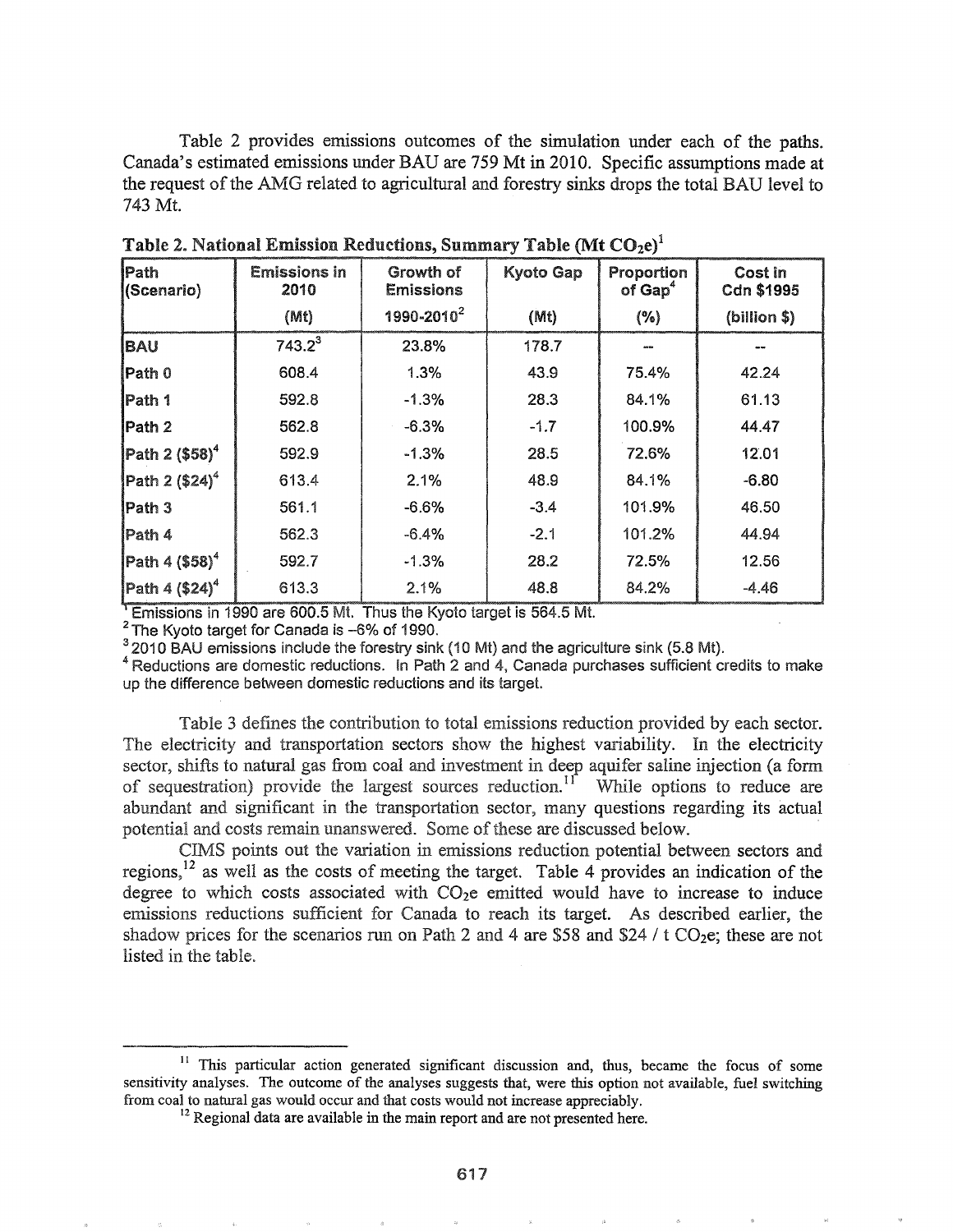Table 2 provides emissions outcomes of the simulation under each of the paths. Canada's estimated emissions under BAU are 759 Mt in 2010. Specific assumptions made at the request of the AMG related to agricultural and forestry sinks drops the total BAU level to 743 Mt.

| Path<br>(Scenario)                                  | <b>Emissions in</b><br>Growth of<br>2010<br><b>Emissions</b> |                        | Kyoto Gap | Proportion<br>of $Gap4$ | Cost in<br>Cdn \$1995 |  |
|-----------------------------------------------------|--------------------------------------------------------------|------------------------|-----------|-------------------------|-----------------------|--|
|                                                     | (Mt)                                                         | 1990-2010 <sup>2</sup> | (Mt)      | (%)                     | (billion \$)          |  |
| <b>BAU</b>                                          | $743.2^3$                                                    | 23.8%                  | 178.7     | 02.00                   |                       |  |
| Path 0                                              | 608.4                                                        | 1.3%                   | 43.9      | 75.4%                   | 42.24                 |  |
| Path 1                                              | 592.8                                                        | $-1.3%$                | 28.3      | 84.1%                   | 61.13                 |  |
| Path 2                                              | 562.8                                                        | $-6.3%$                | $-1.7$    | 100.9%                  | 44.47                 |  |
| Path 2 (\$58) <sup>4</sup>                          | 592.9                                                        | $-1.3%$                | 28.5      | 72.6%                   | 12.01                 |  |
| Path $2(524)^4$                                     | 613.4                                                        | 2.1%                   | 48.9      | 84.1%                   | $-6.80$               |  |
| Path 3                                              | 561.1                                                        | $-6.6%$                | $-3.4$    | 101.9%                  | 46.50                 |  |
| Path 4                                              | 562.3                                                        | $-6.4%$                | $-2.1$    | 101.2%                  | 44.94                 |  |
| $\left  \mathsf{Path} \ 4 \ ( \$58 \right\rangle^4$ | 592.7                                                        | $-1.3%$                | 28.2      | 72.5%                   | 12.56                 |  |
| $\sqrt{P}$ ath 4 (\$24) <sup>4</sup>                | 613.3                                                        | 2.1%                   | 48.8      | 84.2%                   | $-4.46$               |  |

Table 2. National Emission Reductions, Summary Table (Mt CO2e)<sup>1</sup>

<sup>1</sup> Emissions in 1990 are 600.5 Mt. Thus the Kyoto target is 564.5 Mt.

<sup>2</sup> The Kyoto target for Canada is -6% of 1990.

<sup>3</sup> 2010 BAU emissions include the forestry sink (10 Mt) and the agriculture sink (5.8 Mt).

<sup>4</sup> Reductions are domestic reductions. In Path 2 and 4, Canada purchases sufficient credits to make up the difference between domestic reductions and its target.

Table 3 defines the contribution to total emissions reduction provided by each sector. The electricity and transportation sectors show the highest variability. In the electricity sector, shifts to natural gas from coal and investment in deep aquifer saline injection (a form of sequestration) provide the largest sources reduction.<sup>11</sup> While options to reduce are abundant and significant in the transportation sector, many questions regarding its actual potential and costs remain unanswered. Some of these are discussed below.

CIMS points out the variation in emissions reduction potential between sectors and regions,  $12$  as well as the costs of meeting the target. Table 4 provides an indication of the degree to which costs associated with  $CO<sub>2</sub>e$  emitted would have to increase to induce emissions reductions sufficient for Canada to reach its target. As described earlier, the shadow prices for the scenarios run on Path 2 and 4 are \$58 and \$24 /  $t$  CO<sub>2</sub>e; these are not listed in the table.

<sup>&</sup>lt;sup>11</sup> This particular action generated significant discussion and, thus, became the focus of some sensitivity analyses. The outcome of the analyses suggests that, were this option not available, fuel switching from coal to natural gas would occur and that costs would not increase appreciably.

<sup>&</sup>lt;sup>12</sup> Regional data are available in the main report and are not presented here.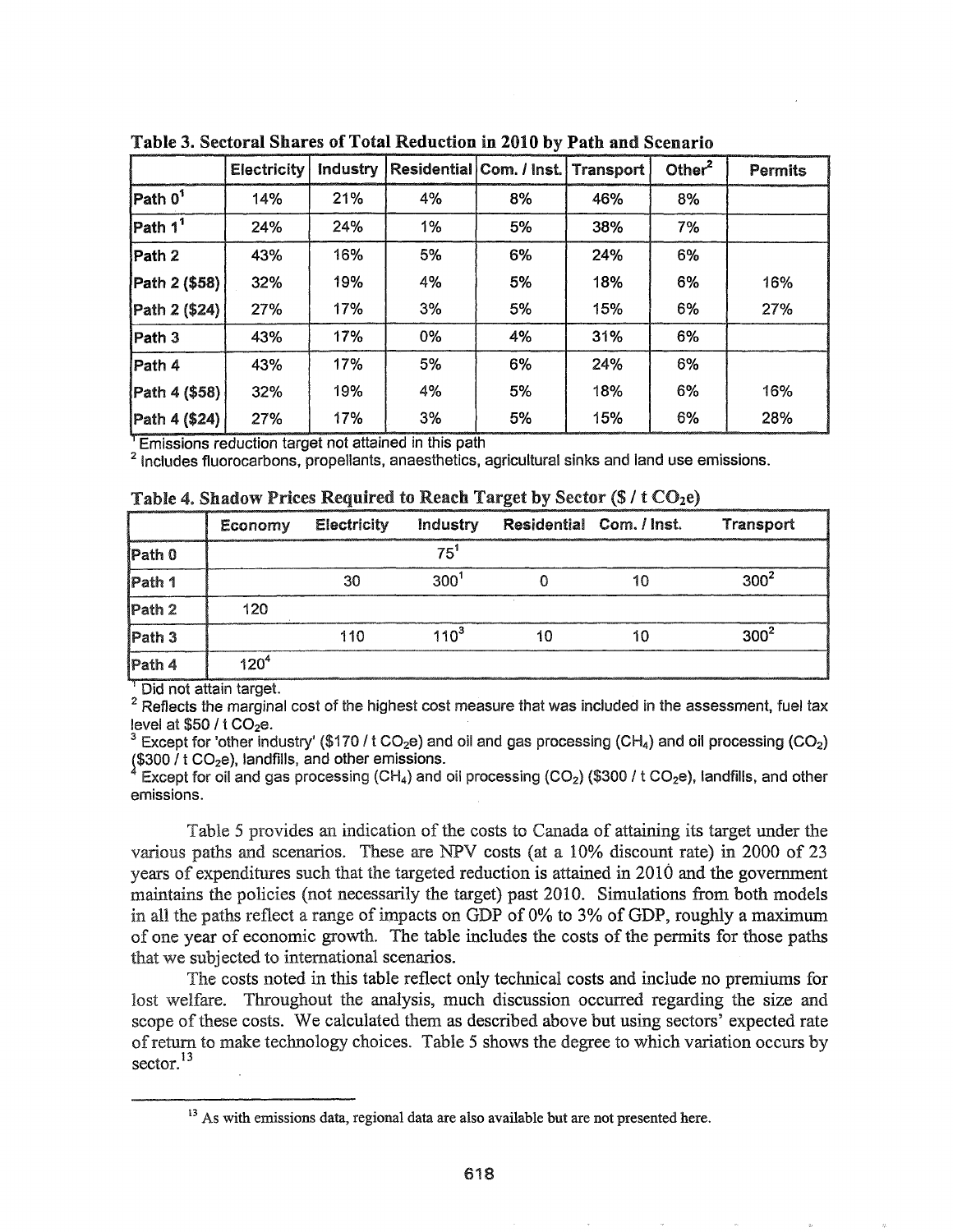|                     | <b>Electricity</b> | <b>Industry</b> |    | Residential Com. / Inst. Transport |     | Other $^2$ | <b>Permits</b> |
|---------------------|--------------------|-----------------|----|------------------------------------|-----|------------|----------------|
| Path 0 <sup>1</sup> | 14%                | 21%             | 4% | 8%                                 | 46% | 8%         |                |
| Path 1 <sup>1</sup> | 24%                | 24%             | 1% | 5%                                 | 38% | 7%         |                |
| Path 2              | 43%                | 16%             | 5% | 6%                                 | 24% | 6%         |                |
| Path 2 (\$58)       | 32%                | 19%             | 4% | 5%                                 | 18% | 6%         | 16%            |
| Path 2 (\$24)       | 27%                | 17%             | 3% | 5%                                 | 15% | 6%         | 27%            |
| Path 3              | 43%                | 17%             | 0% | 4%                                 | 31% | 6%         |                |
| Path 4              | 43%                | 17%             | 5% | 6%                                 | 24% | 6%         |                |
| Path 4 (\$58)       | 32%                | 19%             | 4% | 5%                                 | 18% | 6%         | 16%            |
| Path 4 (\$24)       | 27%                | 17%             | 3% | 5%                                 | 15% | 6%         | 28%            |

Table 3. Sectoral Shares of Total Reduction in 2010 by Path and Scenario

 $\,$  Emissions reduction target not attained in this path

2 Includes fluorocarbons, propellants, anaesthetics, agricultural sinks and land use emissions.

| Table 4. Shadow Prices Required to Reach Target by Sector (\$ / t CO <sub>2</sub> e) |  |  |  |  |  |  |  |  |  |  |  |
|--------------------------------------------------------------------------------------|--|--|--|--|--|--|--|--|--|--|--|
|--------------------------------------------------------------------------------------|--|--|--|--|--|--|--|--|--|--|--|

|                                                 | Economy   | <b>Electricity</b> | <b>Industry</b>  | Residential Com. / Inst. | Transport        |
|-------------------------------------------------|-----------|--------------------|------------------|--------------------------|------------------|
| Path 0                                          |           |                    | 75               |                          |                  |
| $\sqrt{\frac{1}{1}P_{\text{at}} + \frac{1}{1}}$ |           | 30                 | $300^{1}$        | 10                       | $300^2$          |
| Path 2                                          | 120       |                    |                  |                          |                  |
| $\sqrt{\frac{2}{2}}$ Path 3                     |           | 110                | 110 <sup>3</sup> |                          | 300 <sup>2</sup> |
| $\sqrt{\frac{1}{2}$ Path 4                      | $120^{4}$ |                    |                  |                          |                  |

' Did not attain target.

 $2$  Reflects the marginal cost of the highest cost measure that was included in the assessment, fuel tax level at  $$50 / t CO<sub>2</sub>e$ .

<sup>3</sup> Except for 'other industry' (\$170 / t CO<sub>2</sub>e) and oil and gas processing (CH<sub>4</sub>) and oil processing (CO<sub>2</sub>)  $($ \$300  $/$  t CO<sub>2</sub>e), landfills, and other emissions.

Except for oil and gas processing  $(CH_4)$  and oil processing  $(CO_2)$  (\$300 / t  $CO_2$ e), landfills, and other emissions.

Table 5 provides an indication of the costs to Canada of attaining its target under the various paths and scenarios. These are NPV costs (at a  $10\%$  discount rate) in 2000 of 23 years expenditures such that the targeted reduction is attained in 2010 and the government maintains the policies (not necessarily the target) past 2010. Simulations from both models in all the paths reflect a range of impacts on GDP of 0% to 3% of GDP, roughly a maximum of one year of economic growth. The table includes the costs of the permits for those paths that we subjected to international scenarios.

The costs noted in this table reflect only technical costs and include no premiums for lost welfare. Throughout the analysis, much discussion occurred regarding the size and scope of these costs. We calculated them as described above but using sectors' expected rate ofreturn to make technology choices. Table 5 shows the degree to which variation occurs by sector.<sup>13</sup>

<sup>&</sup>lt;sup>13</sup> As with emissions data, regional data are also available but are not presented here.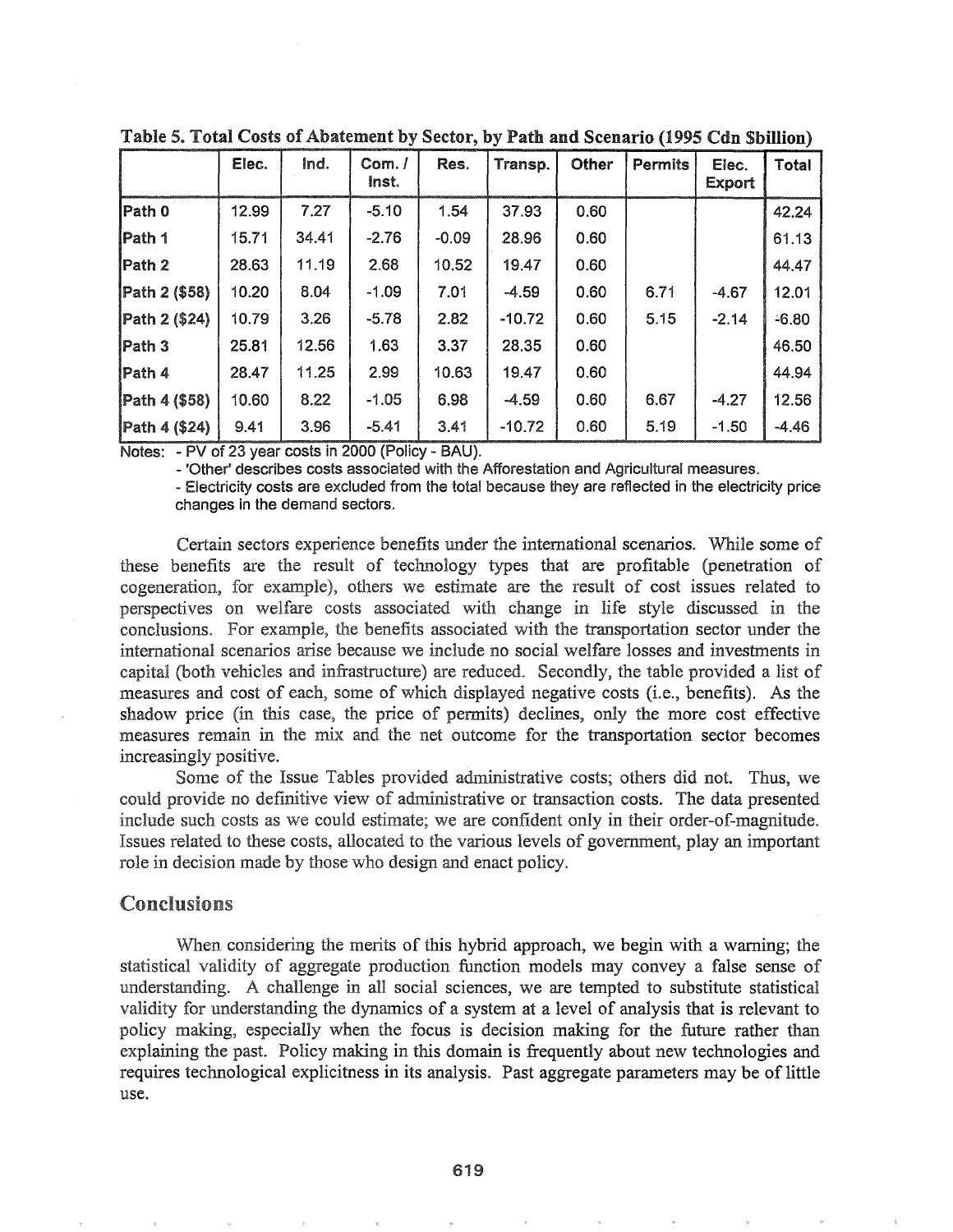|               | Elec. | ind.  | Com. /<br>Inst. | Res.    | Transp.  | Other | <b>Permits</b> | Elec.<br>Export | Total   |
|---------------|-------|-------|-----------------|---------|----------|-------|----------------|-----------------|---------|
| Path 0        | 12.99 | 7.27  | $-5.10$         | 1.54    | 37.93    | 0.60  |                |                 | 42.24   |
| Path 1        | 15.71 | 34.41 | $-2.76$         | $-0.09$ | 28.96    | 0.60  |                |                 | 61.13   |
| Path 2        | 28.63 | 11.19 | 2.68            | 10.52   | 19.47    | 0.60  |                |                 | 44.47   |
| Path 2 (\$58) | 10.20 | 8.04  | $-1.09$         | 7.01    | $-4.59$  | 0.60  | 6.71           | $-4.67$         | 12.01   |
| Path 2 (\$24) | 10.79 | 3.26  | $-5.78$         | 2.82    | $-10.72$ | 0.60  | 5.15           | $-2.14$         | $-6.80$ |
| Path 3        | 25.81 | 12.56 | 1.63            | 3.37    | 28.35    | 0.60  |                |                 | 46.50   |
| Path 4        | 28.47 | 11.25 | 2.99            | 10.63   | 19.47    | 0.60  |                |                 | 44.94   |
| Path 4 (\$58) | 10.60 | 8.22  | $-1.05$         | 6.98    | $-4.59$  | 0.60  | 6.67           | $-4.27$         | 12.56   |
| Path 4 (\$24) | 9.41  | 3.96  | $-5.41$         | 3.41    | $-10.72$ | 0.60  | 5.19           | $-1.50$         | $-4.46$ |

Table 5. Total Costs of Abatement by Sector, by Path and Scenario (1995 Cdn Sbillion)

Notes: - PV of 23 year costs in 2000 (Policy - BAU).

- 'Other' describes costs associated with the Afforestation and Agricultural measures.

- Electricity costs are excluded from the total because they are reflected in the electricity price changes in the demand sectors.

Certain sectors experience benefits under the international scenarios. While some of these benefits are the result of technology types that are profitable (penetration of cogeneration, for example), others we estimate are the result of cost issues related to perspectives on welfare costs associated with change in life style discussed in the conclusions. For example, the benefits associated with the transportation sector under the international scenarios arise because we include no social welfare losses and investments in capital (both vehicles and infrastructure) are reduced. Secondly, the table provided a list of measures and cost of each, some of which displayed negative costs (i.e., benefits). As the shadow price (in this case, the price of permits) declines, only the more cost effective measures remain in the mix and the net outcome for the transportation sector becomes increasingly positive.

Some of the Issue Tables provided administrative costs; others did not. Thus, we could provide no definitive view of administrative or transaction costs. The data presented include such costs as we could estimate; we are confident only in their order-of-magnitude. Issues related to these costs, allocated to the various levels of government, play an important role in decision made by those who design and enact policy.

## Conclusions

When considering the merits of this hybrid approach, we begin with a warning; the statistical validity of aggregate production function models may convey a false sense of understanding. A challenge in all social sciences, we are tempted to substitute statistical validity for understanding the dynamics of a system at a level of analysis that is relevant to policy making, especially when the focus is decision making for the future rather than explaining the past. Policy making in this domain is frequently about new technologies and requires technological explicitness in its analysis. Past aggregate parameters may be of little use.